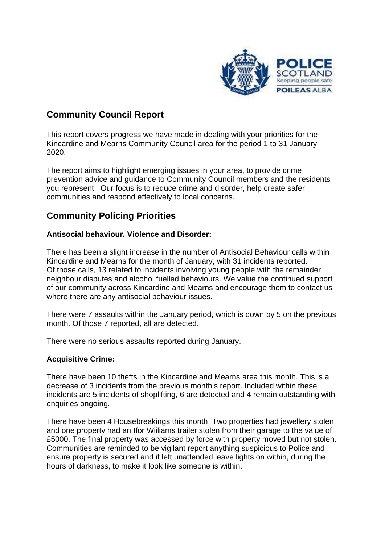

## **Community Council Report**

This report covers progress we have made in dealing with your priorities for the Kincardine and Mearns Community Council area for the period 1 to 31 January 2020.

The report aims to highlight emerging issues in your area, to provide crime prevention advice and guidance to Community Council members and the residents you represent. Our focus is to reduce crime and disorder, help create safer communities and respond effectively to local concerns.

### **Community Policing Priorities**

#### **Antisocial behaviour, Violence and Disorder:**

There has been a slight increase in the number of Antisocial Behaviour calls within Kincardine and Mearns for the month of January, with 31 incidents reported. Of those calls, 13 related to incidents involving young people with the remainder neighbour disputes and alcohol fuelled behaviours. We value the continued support of our community across Kincardine and Mearns and encourage them to contact us where there are any antisocial behaviour issues.

There were 7 assaults within the January period, which is down by 5 on the previous month. Of those 7 reported, all are detected.

There were no serious assaults reported during January.

#### **Acquisitive Crime:**

There have been 10 thefts in the Kincardine and Mearns area this month. This is a decrease of 3 incidents from the previous month's report. Included within these incidents are 5 incidents of shoplifting, 6 are detected and 4 remain outstanding with enquiries ongoing.

There have been 4 Housebreakings this month. Two properties had jewellery stolen and one property had an Ifor Wiiliams trailer stolen from their garage to the value of £5000. The final property was accessed by force with property moved but not stolen. Communities are reminded to be vigilant report anything suspicious to Police and ensure property is secured and if left unattended leave lights on within, during the hours of darkness, to make it look like someone is within.